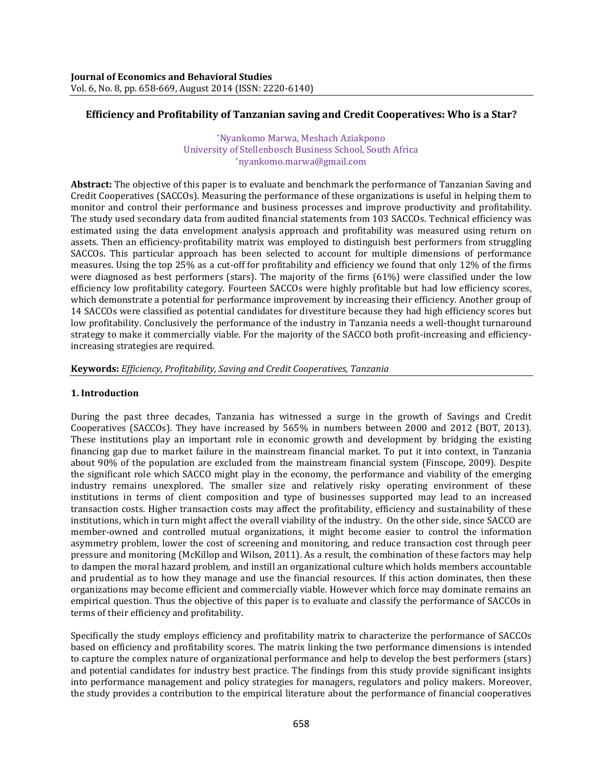# **Efficiency and Profitability of Tanzanian saving and Credit Cooperatives: Who is a Star?**

\*Nyankomo Marwa, Meshach Aziakpono University of Stellenbosch Business School, South Africa \*nyankomo.marwa@gmail.com

**Abstract:** The objective of this paper is to evaluate and benchmark the performance of Tanzanian Saving and Credit Cooperatives (SACCOs). Measuring the performance of these organizations is useful in helping them to monitor and control their performance and business processes and improve productivity and profitability. The study used secondary data from audited financial statements from 103 SACCOs. Technical efficiency was estimated using the data envelopment analysis approach and profitability was measured using return on assets. Then an efficiency-profitability matrix was employed to distinguish best performers from struggling SACCOs. This particular approach has been selected to account for multiple dimensions of performance measures. Using the top 25% as a cut-off for profitability and efficiency we found that only 12% of the firms were diagnosed as best performers (stars). The majority of the firms (61%) were classified under the low efficiency low profitability category. Fourteen SACCOs were highly profitable but had low efficiency scores, which demonstrate a potential for performance improvement by increasing their efficiency. Another group of 14 SACCOs were classified as potential candidates for divestiture because they had high efficiency scores but low profitability. Conclusively the performance of the industry in Tanzania needs a well-thought turnaround strategy to make it commercially viable. For the majority of the SACCO both profit-increasing and efficiencyincreasing strategies are required.

**Keywords:** *Efficiency, Profitability, Saving and Credit Cooperatives, Tanzania*

## **1. Introduction**

During the past three decades, Tanzania has witnessed a surge in the growth of Savings and Credit Cooperatives (SACCOs). They have increased by 565% in numbers between 2000 and 2012 (BOT, 2013). These institutions play an important role in economic growth and development by bridging the existing financing gap due to market failure in the mainstream financial market. To put it into context, in Tanzania about 90% of the population are excluded from the mainstream financial system (Finscope, 2009). Despite the significant role which SACCO might play in the economy, the performance and viability of the emerging industry remains unexplored. The smaller size and relatively risky operating environment of these institutions in terms of client composition and type of businesses supported may lead to an increased transaction costs. Higher transaction costs may affect the profitability, efficiency and sustainability of these institutions, which in turn might affect the overall viability of the industry. On the other side, since SACCO are member-owned and controlled mutual organizations, it might become easier to control the information asymmetry problem, lower the cost of screening and monitoring, and reduce transaction cost through peer pressure and monitoring (McKillop and Wilson, 2011). As a result, the combination of these factors may help to dampen the moral hazard problem, and instill an organizational culture which holds members accountable and prudential as to how they manage and use the financial resources. If this action dominates, then these organizations may become efficient and commercially viable. However which force may dominate remains an empirical question. Thus the objective of this paper is to evaluate and classify the performance of SACCOs in terms of their efficiency and profitability.

Specifically the study employs efficiency and profitability matrix to characterize the performance of SACCOs based on efficiency and profitability scores. The matrix linking the two performance dimensions is intended to capture the complex nature of organizational performance and help to develop the best performers (stars) and potential candidates for industry best practice. The findings from this study provide significant insights into performance management and policy strategies for managers, regulators and policy makers. Moreover, the study provides a contribution to the empirical literature about the performance of financial cooperatives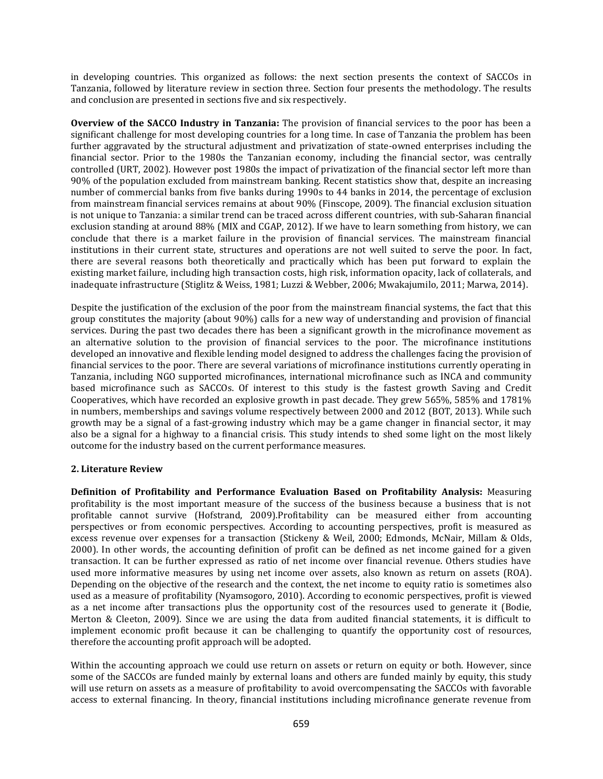in developing countries. This organized as follows: the next section presents the context of SACCOs in Tanzania, followed by literature review in section three. Section four presents the methodology. The results and conclusion are presented in sections five and six respectively.

**Overview of the SACCO Industry in Tanzania:** The provision of financial services to the poor has been a significant challenge for most developing countries for a long time. In case of Tanzania the problem has been further aggravated by the structural adjustment and privatization of state-owned enterprises including the financial sector. Prior to the 1980s the Tanzanian economy, including the financial sector, was centrally controlled (URT, 2002). However post 1980s the impact of privatization of the financial sector left more than 90% of the population excluded from mainstream banking. Recent statistics show that, despite an increasing number of commercial banks from five banks during 1990s to 44 banks in 2014, the percentage of exclusion from mainstream financial services remains at about 90% (Finscope, 2009). The financial exclusion situation is not unique to Tanzania: a similar trend can be traced across different countries, with sub-Saharan financial exclusion standing at around 88% (MIX and CGAP, 2012). If we have to learn something from history, we can conclude that there is a market failure in the provision of financial services. The mainstream financial institutions in their current state, structures and operations are not well suited to serve the poor. In fact, there are several reasons both theoretically and practically which has been put forward to explain the existing market failure, including high transaction costs, high risk, information opacity, lack of collaterals, and inadequate infrastructure (Stiglitz & Weiss, 1981; Luzzi & Webber, 2006; Mwakajumilo, 2011; Marwa, 2014).

Despite the justification of the exclusion of the poor from the mainstream financial systems, the fact that this group constitutes the majority (about 90%) calls for a new way of understanding and provision of financial services. During the past two decades there has been a significant growth in the microfinance movement as an alternative solution to the provision of financial services to the poor. The microfinance institutions developed an innovative and flexible lending model designed to address the challenges facing the provision of financial services to the poor. There are several variations of microfinance institutions currently operating in Tanzania, including NGO supported microfinances, international microfinance such as INCA and community based microfinance such as SACCOs. Of interest to this study is the fastest growth Saving and Credit Cooperatives, which have recorded an explosive growth in past decade. They grew 565%, 585% and 1781% in numbers, memberships and savings volume respectively between 2000 and 2012 (BOT, 2013). While such growth may be a signal of a fast-growing industry which may be a game changer in financial sector, it may also be a signal for a highway to a financial crisis. This study intends to shed some light on the most likely outcome for the industry based on the current performance measures.

## **2. Literature Review**

**Definition of Profitability and Performance Evaluation Based on Profitability Analysis:** Measuring profitability is the most important measure of the success of the business because a business that is not profitable cannot survive (Hofstrand, 2009).Profitability can be measured either from accounting perspectives or from economic perspectives. According to accounting perspectives, profit is measured as excess revenue over expenses for a transaction (Stickeny & Weil, 2000; Edmonds, McNair, Millam & Olds, 2000). In other words, the accounting definition of profit can be defined as net income gained for a given transaction. It can be further expressed as ratio of net income over financial revenue. Others studies have used more informative measures by using net income over assets, also known as return on assets (ROA). Depending on the objective of the research and the context, the net income to equity ratio is sometimes also used as a measure of profitability (Nyamsogoro, 2010). According to economic perspectives, profit is viewed as a net income after transactions plus the opportunity cost of the resources used to generate it (Bodie, Merton & Cleeton, 2009). Since we are using the data from audited financial statements, it is difficult to implement economic profit because it can be challenging to quantify the opportunity cost of resources, therefore the accounting profit approach will be adopted.

Within the accounting approach we could use return on assets or return on equity or both. However, since some of the SACCOs are funded mainly by external loans and others are funded mainly by equity, this study will use return on assets as a measure of profitability to avoid overcompensating the SACCOs with favorable access to external financing. In theory, financial institutions including microfinance generate revenue from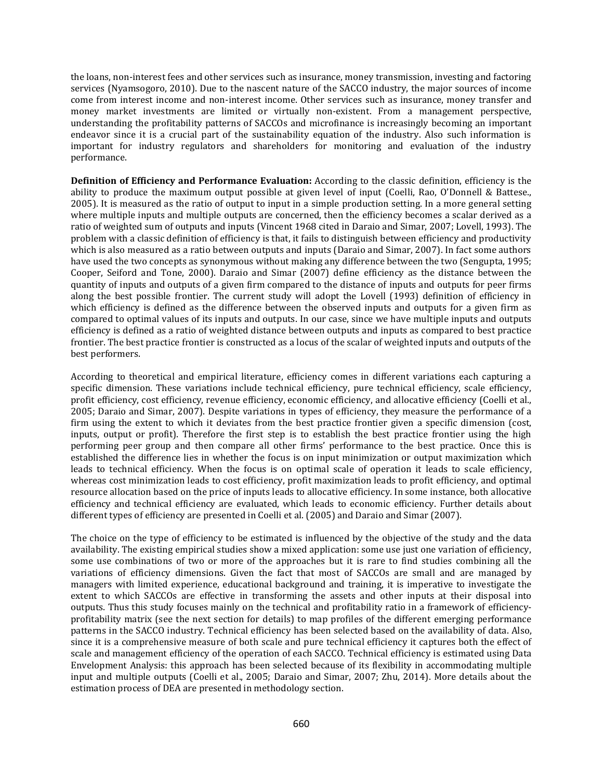the loans, non-interest fees and other services such as insurance, money transmission, investing and factoring services (Nyamsogoro, 2010). Due to the nascent nature of the SACCO industry, the major sources of income come from interest income and non-interest income. Other services such as insurance, money transfer and money market investments are limited or virtually non-existent. From a management perspective, understanding the profitability patterns of SACCOs and microfinance is increasingly becoming an important endeavor since it is a crucial part of the sustainability equation of the industry. Also such information is important for industry regulators and shareholders for monitoring and evaluation of the industry performance.

**Definition of Efficiency and Performance Evaluation:** According to the classic definition, efficiency is the ability to produce the maximum output possible at given level of input (Coelli, Rao, O'Donnell & Battese., 2005). It is measured as the ratio of output to input in a simple production setting. In a more general setting where multiple inputs and multiple outputs are concerned, then the efficiency becomes a scalar derived as a ratio of weighted sum of outputs and inputs (Vincent 1968 cited in Daraio and Simar, 2007; Lovell, 1993). The problem with a classic definition of efficiency is that, it fails to distinguish between efficiency and productivity which is also measured as a ratio between outputs and inputs (Daraio and Simar, 2007). In fact some authors have used the two concepts as synonymous without making any difference between the two (Sengupta, 1995; Cooper, Seiford and Tone, 2000). Daraio and Simar (2007) define efficiency as the distance between the quantity of inputs and outputs of a given firm compared to the distance of inputs and outputs for peer firms along the best possible frontier. The current study will adopt the Lovell (1993) definition of efficiency in which efficiency is defined as the difference between the observed inputs and outputs for a given firm as compared to optimal values of its inputs and outputs. In our case, since we have multiple inputs and outputs efficiency is defined as a ratio of weighted distance between outputs and inputs as compared to best practice frontier. The best practice frontier is constructed as a locus of the scalar of weighted inputs and outputs of the best performers.

According to theoretical and empirical literature, efficiency comes in different variations each capturing a specific dimension. These variations include technical efficiency, pure technical efficiency, scale efficiency, profit efficiency, cost efficiency, revenue efficiency, economic efficiency, and allocative efficiency (Coelli et al., 2005; Daraio and Simar, 2007). Despite variations in types of efficiency, they measure the performance of a firm using the extent to which it deviates from the best practice frontier given a specific dimension (cost, inputs, output or profit). Therefore the first step is to establish the best practice frontier using the high performing peer group and then compare all other firms' performance to the best practice. Once this is established the difference lies in whether the focus is on input minimization or output maximization which leads to technical efficiency. When the focus is on optimal scale of operation it leads to scale efficiency, whereas cost minimization leads to cost efficiency, profit maximization leads to profit efficiency, and optimal resource allocation based on the price of inputs leads to allocative efficiency. In some instance, both allocative efficiency and technical efficiency are evaluated, which leads to economic efficiency. Further details about different types of efficiency are presented in Coelli et al. (2005) and Daraio and Simar (2007).

The choice on the type of efficiency to be estimated is influenced by the objective of the study and the data availability. The existing empirical studies show a mixed application: some use just one variation of efficiency, some use combinations of two or more of the approaches but it is rare to find studies combining all the variations of efficiency dimensions. Given the fact that most of SACCOs are small and are managed by managers with limited experience, educational background and training, it is imperative to investigate the extent to which SACCOs are effective in transforming the assets and other inputs at their disposal into outputs. Thus this study focuses mainly on the technical and profitability ratio in a framework of efficiencyprofitability matrix (see the next section for details) to map profiles of the different emerging performance patterns in the SACCO industry. Technical efficiency has been selected based on the availability of data. Also, since it is a comprehensive measure of both scale and pure technical efficiency it captures both the effect of scale and management efficiency of the operation of each SACCO. Technical efficiency is estimated using Data Envelopment Analysis: this approach has been selected because of its flexibility in accommodating multiple input and multiple outputs (Coelli et al., 2005; Daraio and Simar, 2007; Zhu, 2014). More details about the estimation process of DEA are presented in methodology section.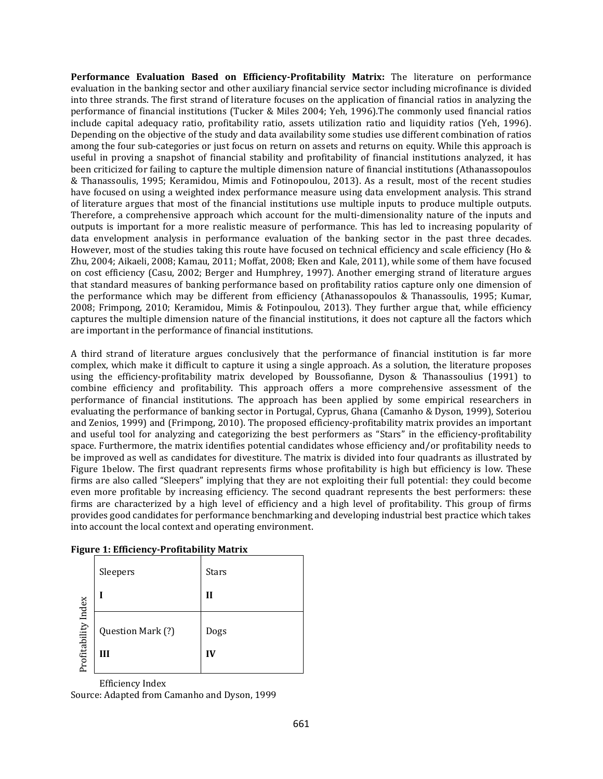**Performance Evaluation Based on Efficiency-Profitability Matrix:** The literature on performance evaluation in the banking sector and other auxiliary financial service sector including microfinance is divided into three strands. The first strand of literature focuses on the application of financial ratios in analyzing the performance of financial institutions (Tucker & Miles 2004; Yeh, 1996).The commonly used financial ratios include capital adequacy ratio, profitability ratio, assets utilization ratio and liquidity ratios (Yeh, 1996). Depending on the objective of the study and data availability some studies use different combination of ratios among the four sub-categories or just focus on return on assets and returns on equity. While this approach is useful in proving a snapshot of financial stability and profitability of financial institutions analyzed, it has been criticized for failing to capture the multiple dimension nature of financial institutions (Athanassopoulos & Thanassoulis, 1995; Keramidou, Mimis and Fotinopoulou, 2013). As a result, most of the recent studies have focused on using a weighted index performance measure using data envelopment analysis. This strand of literature argues that most of the financial institutions use multiple inputs to produce multiple outputs. Therefore, a comprehensive approach which account for the multi-dimensionality nature of the inputs and outputs is important for a more realistic measure of performance. This has led to increasing popularity of data envelopment analysis in performance evaluation of the banking sector in the past three decades. However, most of the studies taking this route have focused on technical efficiency and scale efficiency (Ho & Zhu, 2004; Aikaeli, 2008; Kamau, 2011; Moffat, 2008; Eken and Kale, 2011), while some of them have focused on cost efficiency (Casu, 2002; Berger and Humphrey, 1997). Another emerging strand of literature argues that standard measures of banking performance based on profitability ratios capture only one dimension of the performance which may be different from efficiency (Athanassopoulos & Thanassoulis, 1995; Kumar, 2008; Frimpong, 2010; Keramidou, Mimis & Fotinpoulou, 2013). They further argue that, while efficiency captures the multiple dimension nature of the financial institutions, it does not capture all the factors which are important in the performance of financial institutions.

A third strand of literature argues conclusively that the performance of financial institution is far more complex, which make it difficult to capture it using a single approach. As a solution, the literature proposes using the efficiency-profitability matrix developed by Boussofianne, Dyson & Thanassoulius (1991) to combine efficiency and profitability. This approach offers a more comprehensive assessment of the performance of financial institutions. The approach has been applied by some empirical researchers in evaluating the performance of banking sector in Portugal, Cyprus, Ghana (Camanho & Dyson, 1999), Soteriou and Zenios, 1999) and (Frimpong, 2010). The proposed efficiency-profitability matrix provides an important and useful tool for analyzing and categorizing the best performers as "Stars" in the efficiency-profitability space. Furthermore, the matrix identifies potential candidates whose efficiency and/or profitability needs to be improved as well as candidates for divestiture. The matrix is divided into four quadrants as illustrated by Figure 1below. The first quadrant represents firms whose profitability is high but efficiency is low. These firms are also called "Sleepers" implying that they are not exploiting their full potential: they could become even more profitable by increasing efficiency. The second quadrant represents the best performers: these firms are characterized by a high level of efficiency and a high level of profitability. This group of firms provides good candidates for performance benchmarking and developing industrial best practice which takes into account the local context and operating environment.

|                     | Sleepers               | <b>Stars</b> |  |  |
|---------------------|------------------------|--------------|--|--|
|                     |                        | П            |  |  |
| Profitability Index | Question Mark (?)<br>Ш | Dogs<br>IV   |  |  |

| <b>Figure 1: Efficiency-Profitability Matrix</b> |  |
|--------------------------------------------------|--|
|                                                  |  |

Efficiency Index Source: Adapted from Camanho and Dyson, 1999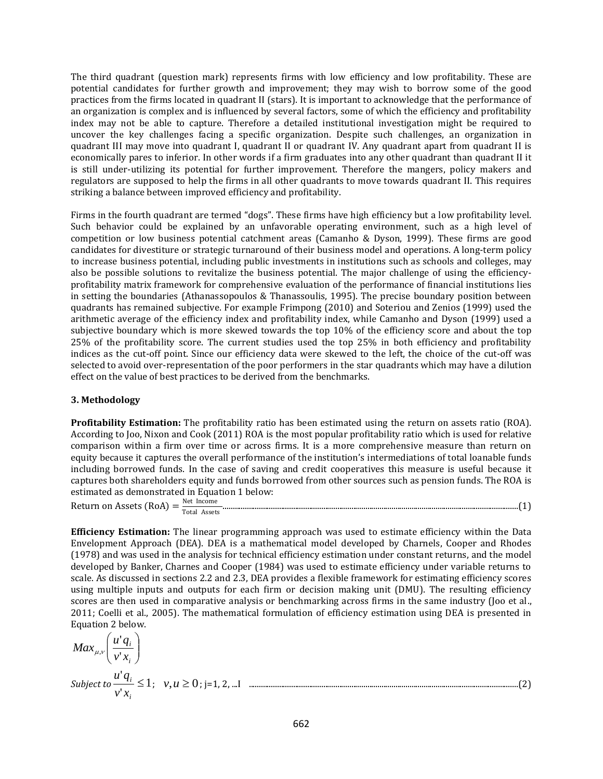The third quadrant (question mark) represents firms with low efficiency and low profitability. These are potential candidates for further growth and improvement; they may wish to borrow some of the good practices from the firms located in quadrant II (stars). It is important to acknowledge that the performance of an organization is complex and is influenced by several factors, some of which the efficiency and profitability index may not be able to capture. Therefore a detailed institutional investigation might be required to uncover the key challenges facing a specific organization. Despite such challenges, an organization in quadrant III may move into quadrant I, quadrant II or quadrant IV. Any quadrant apart from quadrant II is economically pares to inferior. In other words if a firm graduates into any other quadrant than quadrant II it is still under-utilizing its potential for further improvement. Therefore the mangers, policy makers and regulators are supposed to help the firms in all other quadrants to move towards quadrant II. This requires striking a balance between improved efficiency and profitability.

Firms in the fourth quadrant are termed "dogs". These firms have high efficiency but a low profitability level. Such behavior could be explained by an unfavorable operating environment, such as a high level of competition or low business potential catchment areas (Camanho & Dyson, 1999). These firms are good candidates for divestiture or strategic turnaround of their business model and operations. A long-term policy to increase business potential, including public investments in institutions such as schools and colleges, may also be possible solutions to revitalize the business potential. The major challenge of using the efficiencyprofitability matrix framework for comprehensive evaluation of the performance of financial institutions lies in setting the boundaries (Athanassopoulos & Thanassoulis, 1995). The precise boundary position between quadrants has remained subjective. For example Frimpong (2010) and Soteriou and Zenios (1999) used the arithmetic average of the efficiency index and profitability index, while Camanho and Dyson (1999) used a subjective boundary which is more skewed towards the top 10% of the efficiency score and about the top 25% of the profitability score. The current studies used the top 25% in both efficiency and profitability indices as the cut-off point. Since our efficiency data were skewed to the left, the choice of the cut-off was selected to avoid over-representation of the poor performers in the star quadrants which may have a dilution effect on the value of best practices to be derived from the benchmarks.

## **3. Methodology**

**Profitability Estimation:** The profitability ratio has been estimated using the return on assets ratio (ROA). According to Joo, Nixon and Cook (2011) ROA is the most popular profitability ratio which is used for relative comparison within a firm over time or across firms. It is a more comprehensive measure than return on equity because it captures the overall performance of the institution's intermediations of total loanable funds including borrowed funds. In the case of saving and credit cooperatives this measure is useful because it captures both shareholders equity and funds borrowed from other sources such as pension funds. The ROA is estimated as demonstrated in Equation 1 below:

Return on Assets (RoA) =  $\frac{\text{Net Income}}{\text{Bott}$ Total Assets ...................................................................................................................................................(1)

**Efficiency Estimation:** The linear programming approach was used to estimate efficiency within the Data Envelopment Approach (DEA). DEA is a mathematical model developed by Charnels, Cooper and Rhodes (1978) and was used in the analysis for technical efficiency estimation under constant returns, and the model developed by Banker, Charnes and Cooper (1984) was used to estimate efficiency under variable returns to scale. As discussed in sections 2.2 and 2.3, DEA provides a flexible framework for estimating efficiency scores using multiple inputs and outputs for each firm or decision making unit (DMU). The resulting efficiency scores are then used in comparative analysis or benchmarking across firms in the same industry (Joo et al., 2011; Coelli et al., 2005). The mathematical formulation of efficiency estimation using DEA is presented in Equation 2 below.

$$
Max_{\mu,\nu}\left(\frac{u'q_i}{\nu'x_i}\right)
$$
  
Subject to  $\frac{u'q_i}{\nu'x_i} \le 1$ ;  $\nu,\mu \ge 0$ ; j=1, 2, ...I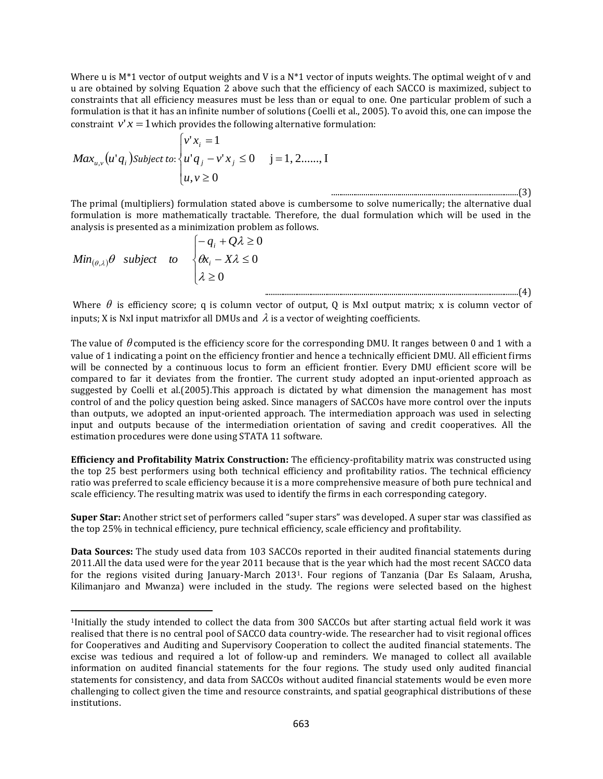Where u is  $M^*1$  vector of output weights and V is a  $N^*1$  vector of inputs weights. The optimal weight of v and u are obtained by solving Equation 2 above such that the efficiency of each SACCO is maximized, subject to constraints that all efficiency measures must be less than or equal to one. One particular problem of such a formulation is that it has an infinite number of solutions (Coelli et al., 2005). To avoid this, one can impose the constraint  $v'x = 1$  which provides the following alternative formulation:

$$
Max_{u,v}(u'q_i)
$$
Subject to: 
$$
\begin{cases} v'x_i = 1 \\ u'q_j - v'x_j \le 0 \\ u, v \ge 0 \end{cases}
$$
 j = 1, 2, ..., I

The primal (multipliers) formulation stated above is cumbersome to solve numerically; the alternative dual formulation is more mathematically tractable. Therefore, the dual formulation which will be used in the analysis is presented as a minimization problem as follows.

$$
Min_{(\theta,\lambda)}\theta \quad subject \quad to \quad \begin{cases} -q_i + Q\lambda \ge 0 \\ \theta x_i - X\lambda \le 0 \\ \lambda \ge 0 \end{cases}
$$

l

Where  $\theta$  is efficiency score; q is column vector of output, Q is MxI output matrix; x is column vector of inputs; X is NxI input matrixfor all DMUs and  $\lambda$  is a vector of weighting coefficients.

..............................................................................................................................(4)

The value of  $\theta$  computed is the efficiency score for the corresponding DMU. It ranges between 0 and 1 with a value of 1 indicating a point on the efficiency frontier and hence a technically efficient DMU. All efficient firms will be connected by a continuous locus to form an efficient frontier. Every DMU efficient score will be compared to far it deviates from the frontier. The current study adopted an input-oriented approach as suggested by Coelli et al.(2005).This approach is dictated by what dimension the management has most control of and the policy question being asked. Since managers of SACCOs have more control over the inputs than outputs, we adopted an input-oriented approach. The intermediation approach was used in selecting input and outputs because of the intermediation orientation of saving and credit cooperatives. All the estimation procedures were done using STATA 11 software.

**Efficiency and Profitability Matrix Construction:** The efficiency-profitability matrix was constructed using the top 25 best performers using both technical efficiency and profitability ratios. The technical efficiency ratio was preferred to scale efficiency because it is a more comprehensive measure of both pure technical and scale efficiency. The resulting matrix was used to identify the firms in each corresponding category.

**Super Star:** Another strict set of performers called "super stars" was developed. A super star was classified as the top 25% in technical efficiency, pure technical efficiency, scale efficiency and profitability.

**Data Sources:** The study used data from 103 SACCOs reported in their audited financial statements during 2011.All the data used were for the year 2011 because that is the year which had the most recent SACCO data for the regions visited during January-March 20131. Four regions of Tanzania (Dar Es Salaam, Arusha, Kilimanjaro and Mwanza) were included in the study. The regions were selected based on the highest

<sup>1</sup>Initially the study intended to collect the data from 300 SACCOs but after starting actual field work it was realised that there is no central pool of SACCO data country-wide. The researcher had to visit regional offices for Cooperatives and Auditing and Supervisory Cooperation to collect the audited financial statements. The excise was tedious and required a lot of follow-up and reminders. We managed to collect all available information on audited financial statements for the four regions. The study used only audited financial statements for consistency, and data from SACCOs without audited financial statements would be even more challenging to collect given the time and resource constraints, and spatial geographical distributions of these institutions.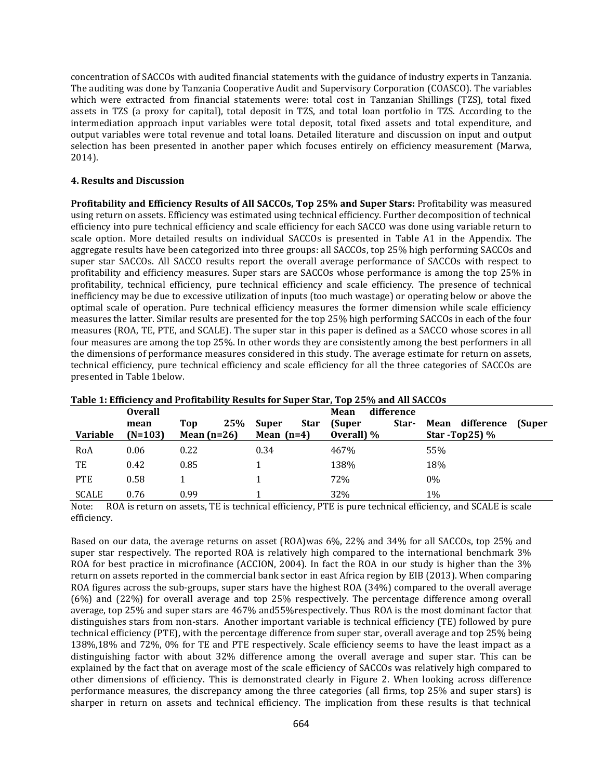concentration of SACCOs with audited financial statements with the guidance of industry experts in Tanzania. The auditing was done by Tanzania Cooperative Audit and Supervisory Corporation (COASCO). The variables which were extracted from financial statements were: total cost in Tanzanian Shillings (TZS), total fixed assets in TZS (a proxy for capital), total deposit in TZS, and total loan portfolio in TZS. According to the intermediation approach input variables were total deposit, total fixed assets and total expenditure, and output variables were total revenue and total loans. Detailed literature and discussion on input and output selection has been presented in another paper which focuses entirely on efficiency measurement (Marwa, 2014).

## **4. Results and Discussion**

**Profitability and Efficiency Results of All SACCOs, Top 25% and Super Stars:** Profitability was measured using return on assets. Efficiency was estimated using technical efficiency. Further decomposition of technical efficiency into pure technical efficiency and scale efficiency for each SACCO was done using variable return to scale option. More detailed results on individual SACCOs is presented in Table A1 in the Appendix. The aggregate results have been categorized into three groups: all SACCOs, top 25% high performing SACCOs and super star SACCOs. All SACCO results report the overall average performance of SACCOs with respect to profitability and efficiency measures. Super stars are SACCOs whose performance is among the top 25% in profitability, technical efficiency, pure technical efficiency and scale efficiency. The presence of technical inefficiency may be due to excessive utilization of inputs (too much wastage) or operating below or above the optimal scale of operation. Pure technical efficiency measures the former dimension while scale efficiency measures the latter. Similar results are presented for the top 25% high performing SACCOs in each of the four measures (ROA, TE, PTE, and SCALE). The super star in this paper is defined as a SACCO whose scores in all four measures are among the top 25%. In other words they are consistently among the best performers in all the dimensions of performance measures considered in this study. The average estimate for return on assets, technical efficiency, pure technical efficiency and scale efficiency for all the three categories of SACCOs are presented in Table 1below.

|                 | <b>Overall</b>    |                             |                                             | difference<br>Mean            |                                               |
|-----------------|-------------------|-----------------------------|---------------------------------------------|-------------------------------|-----------------------------------------------|
| <b>Variable</b> | mean<br>$(N=103)$ | 25%<br>Top<br>Mean $(n=26)$ | <b>Star</b><br><b>Super</b><br>Mean $(n=4)$ | (Super<br>Star-<br>Overall) % | Mean difference<br>(Super<br>Star -Top25) $%$ |
| RoA             | 0.06              | 0.22                        | 0.34                                        | 467%                          | 55%                                           |
| TE              | 0.42              | 0.85                        |                                             | 138%                          | 18%                                           |
| <b>PTE</b>      | 0.58              |                             |                                             | 72%                           | 0%                                            |
| <b>SCALE</b>    | 0.76              | 0.99                        |                                             | 32%                           | 1%                                            |

| Table 1: Efficiency and Profitability Results for Super Star, Top 25% and All SACCOs |  |  |  |
|--------------------------------------------------------------------------------------|--|--|--|
|                                                                                      |  |  |  |

Note: ROA is return on assets, TE is technical efficiency, PTE is pure technical efficiency, and SCALE is scale efficiency.

Based on our data, the average returns on asset (ROA)was 6%, 22% and 34% for all SACCOs, top 25% and super star respectively. The reported ROA is relatively high compared to the international benchmark 3% ROA for best practice in microfinance (ACCION, 2004). In fact the ROA in our study is higher than the 3% return on assets reported in the commercial bank sector in east Africa region by EIB (2013). When comparing ROA figures across the sub-groups, super stars have the highest ROA (34%) compared to the overall average (6%) and (22%) for overall average and top 25% respectively. The percentage difference among overall average, top 25% and super stars are 467% and55%respectively. Thus ROA is the most dominant factor that distinguishes stars from non-stars. Another important variable is technical efficiency (TE) followed by pure technical efficiency (PTE), with the percentage difference from super star, overall average and top 25% being 138%,18% and 72%, 0% for TE and PTE respectively. Scale efficiency seems to have the least impact as a distinguishing factor with about 32% difference among the overall average and super star. This can be explained by the fact that on average most of the scale efficiency of SACCOs was relatively high compared to other dimensions of efficiency. This is demonstrated clearly in Figure 2. When looking across difference performance measures, the discrepancy among the three categories (all firms, top 25% and super stars) is sharper in return on assets and technical efficiency. The implication from these results is that technical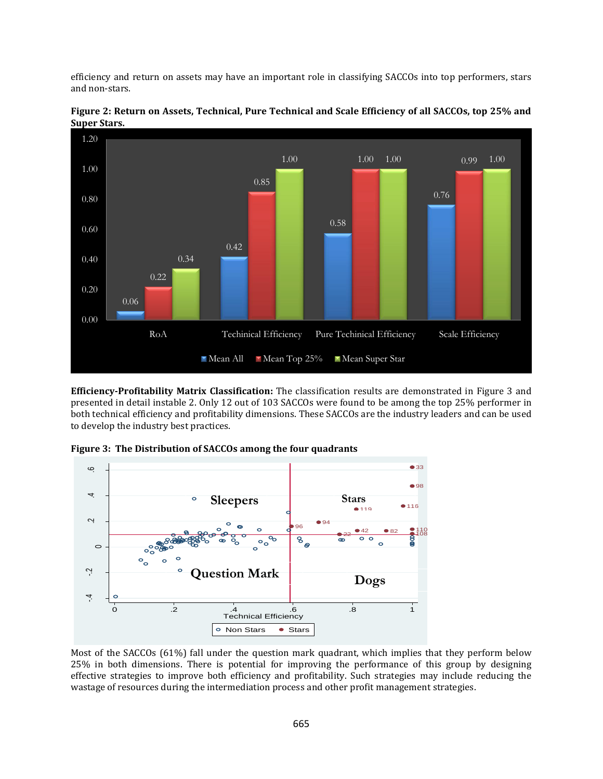efficiency and return on assets may have an important role in classifying SACCOs into top performers, stars and non-stars.



**Figure 2: Return on Assets, Technical, Pure Technical and Scale Efficiency of all SACCOs, top 25% and Super Stars.**

**Efficiency-Profitability Matrix Classification:** The classification results are demonstrated in Figure 3 and presented in detail instable 2. Only 12 out of 103 SACCOs were found to be among the top 25% performer in both technical efficiency and profitability dimensions. These SACCOs are the industry leaders and can be used to develop the industry best practices.

**Figure 3: The Distribution of SACCOs among the four quadrants**



Most of the SACCOs (61%) fall under the question mark quadrant, which implies that they perform below 25% in both dimensions. There is potential for improving the performance of this group by designing effective strategies to improve both efficiency and profitability. Such strategies may include reducing the wastage of resources during the intermediation process and other profit management strategies.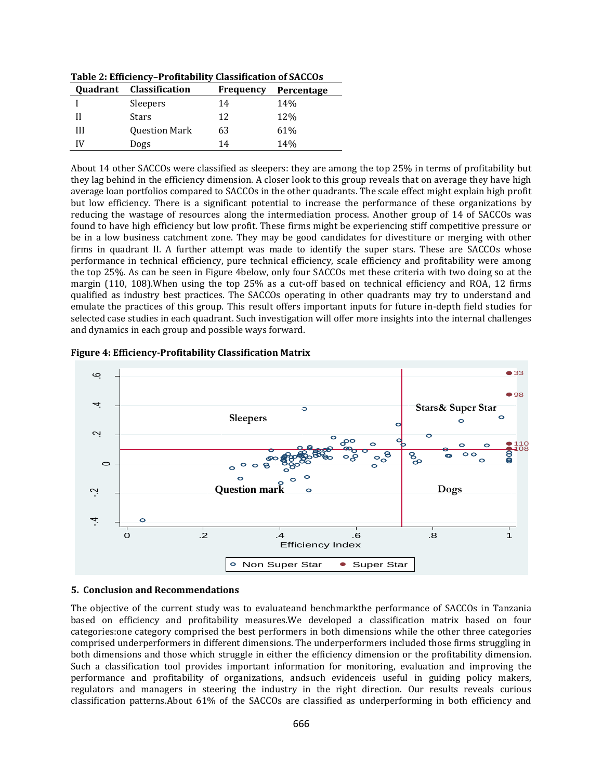| <b>Ouadrant</b> | Classification       | <b>Frequency</b> | Percentage |
|-----------------|----------------------|------------------|------------|
|                 | Sleepers             | 14               | 14%        |
|                 | Stars                | 12               | 12%        |
| Ш               | <b>Question Mark</b> | 63               | 61%        |
| IV              | Dogs                 | 14               | 14%        |

**Table 2: Efficiency–Profitability Classification of SACCOs**

About 14 other SACCOs were classified as sleepers: they are among the top 25% in terms of profitability but they lag behind in the efficiency dimension. A closer look to this group reveals that on average they have high average loan portfolios compared to SACCOs in the other quadrants. The scale effect might explain high profit but low efficiency. There is a significant potential to increase the performance of these organizations by reducing the wastage of resources along the intermediation process. Another group of 14 of SACCOs was found to have high efficiency but low profit. These firms might be experiencing stiff competitive pressure or be in a low business catchment zone. They may be good candidates for divestiture or merging with other firms in quadrant II. A further attempt was made to identify the super stars. These are SACCOs whose performance in technical efficiency, pure technical efficiency, scale efficiency and profitability were among the top 25%. As can be seen in Figure 4below, only four SACCOs met these criteria with two doing so at the margin (110, 108).When using the top 25% as a cut-off based on technical efficiency and ROA, 12 firms qualified as industry best practices. The SACCOs operating in other quadrants may try to understand and emulate the practices of this group. This result offers important inputs for future in-depth field studies for selected case studies in each quadrant. Such investigation will offer more insights into the internal challenges and dynamics in each group and possible ways forward.





## **5. Conclusion and Recommendations**

The objective of the current study was to evaluateand benchmarkthe performance of SACCOs in Tanzania based on efficiency and profitability measures.We developed a classification matrix based on four categories:one category comprised the best performers in both dimensions while the other three categories comprised underperformers in different dimensions. The underperformers included those firms struggling in both dimensions and those which struggle in either the efficiency dimension or the profitability dimension. Such a classification tool provides important information for monitoring, evaluation and improving the performance and profitability of organizations, andsuch evidenceis useful in guiding policy makers, regulators and managers in steering the industry in the right direction. Our results reveals curious classification patterns.About 61% of the SACCOs are classified as underperforming in both efficiency and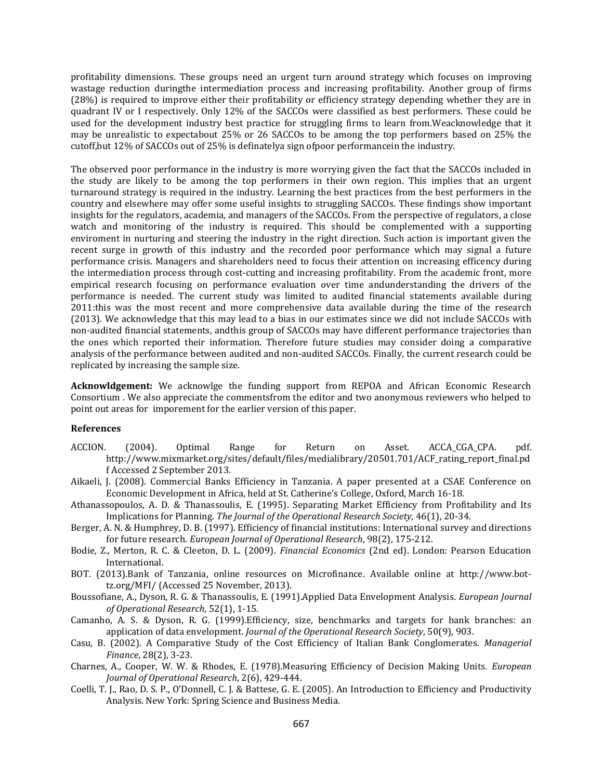profitability dimensions. These groups need an urgent turn around strategy which focuses on improving wastage reduction duringthe intermediation process and increasing profitability. Another group of firms (28%) is required to improve either their profitability or efficiency strategy depending whether they are in quadrant IV or I respectively. Only 12% of the SACCOs were classified as best performers. These could be used for the development industry best practice for struggling firms to learn from.Weacknowledge that it may be unrealistic to expectabout 25% or 26 SACCOs to be among the top performers based on 25% the cutoff,but 12% of SACCOs out of 25% is definatelya sign ofpoor performancein the industry.

The observed poor performance in the industry is more worrying given the fact that the SACCOs included in the study are likely to be among the top performers in their own region. This implies that an urgent turnaround strategy is required in the industry. Learning the best practices from the best performers in the country and elsewhere may offer some useful insights to struggling SACCOs. These findings show important insights for the regulators, academia, and managers of the SACCOs. From the perspective of regulators, a close watch and monitoring of the industry is required. This should be complemented with a supporting enviroment in nurturing and steering the industry in the right direction. Such action is important given the recent surge in growth of this industry and the recorded poor performance which may signal a future performance crisis. Managers and shareholders need to focus their attention on increasing efficency during the intermediation process through cost-cutting and increasing profitability. From the academic front, more empirical research focusing on performance evaluation over time andunderstanding the drivers of the performance is needed. The current study was limited to audited financial statements available during 2011:this was the most recent and more comprehensive data available during the time of the research (2013). We acknowledge that this may lead to a bias in our estimates since we did not include SACCOs with non-audited financial statements, andthis group of SACCOs may have different performance trajectories than the ones which reported their information. Therefore future studies may consider doing a comparative analysis of the performance between audited and non-audited SACCOs. Finally, the current research could be replicated by increasing the sample size.

**Acknowldgement:** We acknowlge the funding support from REPOA and African Economic Research Consortium . We also appreciate the commentsfrom the editor and two anonymous reviewers who helped to point out areas for imporement for the earlier version of this paper.

### **References**

- ACCION. (2004). Optimal Range for Return on Asset. ACCA\_CGA\_CPA. pdf. http://www.mixmarket.org/sites/default/files/medialibrary/20501.701/ACF\_rating\_report\_final.pd f Accessed 2 September 2013.
- Aikaeli, J. (2008). Commercial Banks Efficiency in Tanzania. A paper presented at a CSAE Conference on Economic Development in Africa, held at St. Catherine's College, Oxford, March 16-18.
- Athanassopoulos, A. D. & Thanassoulis, E. (1995). Separating Market Efficiency from Profitability and Its Implications for Planning. *The Journal of the Operational Research Society,* 46(1), 20-34.
- Berger, A. N. & Humphrey, D. B. (1997). Efficiency of financial institutions: International survey and directions for future research. *European Journal of Operational Research*, 98(2), 175-212.
- Bodie, Z., Merton, R. C. & Cleeton, D. L. (2009). *Financial Economics* (2nd ed). London: Pearson Education International.
- BOT. (2013).Bank of Tanzania, online resources on Microfinance. Available online at http://www.bottz.org/MFI/ (Accessed 25 November, 2013).
- Boussofiane, A., Dyson, R. G. & Thanassoulis, E. (1991).Applied Data Envelopment Analysis. *European Journal of Operational Research*, 52(1), 1-15.
- Camanho, A. S. & Dyson, R. G. (1999).Efficiency, size, benchmarks and targets for bank branches: an application of data envelopment. *Journal of the Operational Research Society*, 50(9), 903.
- Casu, B. (2002). A Comparative Study of the Cost Efficiency of Italian Bank Conglomerates. *Managerial Finance*, 28(2), 3-23.
- Charnes, A., Cooper, W. W. & Rhodes, E. (1978).Measuring Efficiency of Decision Making Units. *European Journal of Operational Research*, 2(6), 429-444.
- Coelli, T. J., Rao, D. S. P., O'Donnell, C. J. & Battese, G. E. (2005). An Introduction to Efficiency and Productivity Analysis. New York: Spring Science and Business Media.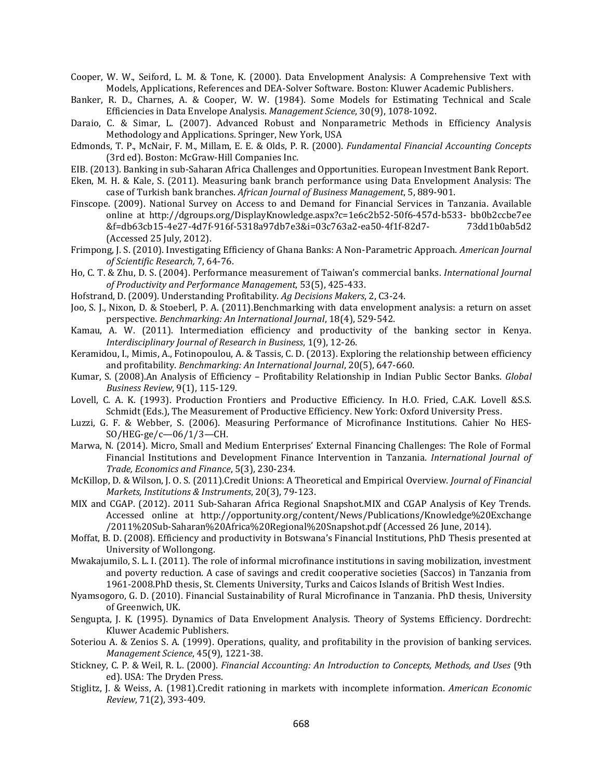- Cooper, W. W., Seiford, L. M. & Tone, K. (2000). Data Envelopment Analysis: A Comprehensive Text with Models, Applications, References and DEA-Solver Software. Boston: Kluwer Academic Publishers.
- Banker, R. D., Charnes, A. & Cooper, W. W. (1984). Some Models for Estimating Technical and Scale Efficiencies in Data Envelope Analysis. *Management Science*, 30(9), 1078-1092.
- Daraio, C. & Simar, L. (2007). Advanced Robust and Nonparametric Methods in Efficiency Analysis Methodology and Applications. Springer, New York, USA
- Edmonds, T. P., McNair, F. M., Millam, E. E. & Olds, P. R. (2000). *Fundamental Financial Accounting Concepts* (3rd ed). Boston: McGraw-Hill Companies Inc.
- EIB. (2013). Banking in sub-Saharan Africa Challenges and Opportunities. European Investment Bank Report.
- Eken, M. H. & Kale, S. (2011). Measuring bank branch performance using Data Envelopment Analysis: The case of Turkish bank branches. *African Journal of Business Management*, 5, 889-901.
- Finscope. (2009). National Survey on Access to and Demand for Financial Services in Tanzania. Available online at http://dgroups.org/DisplayKnowledge.aspx?c=1e6c2b52-50f6-457d-b533- bb0b2ccbe7ee &f=db63cb15-4e27-4d7f-916f-5318a97db7e3&i=03c763a2-ea50-4f1f-82d7- 73dd1b0ab5d2 (Accessed 25 July, 2012).
- Frimpong, J. S. (2010). Investigating Efficiency of Ghana Banks: A Non-Parametric Approach. *American Journal of Scientific Research,* 7, 64-76.
- Ho, C. T. & Zhu, D. S. (2004). Performance measurement of Taiwan's commercial banks. *International Journal of Productivity and Performance Management*, 53(5), 425-433.
- Hofstrand, D. (2009). Understanding Profitability. *Ag Decisions Makers*, 2, C3-24.
- Joo, S. J., Nixon, D. & Stoeberl, P. A. (2011).Benchmarking with data envelopment analysis: a return on asset perspective. *Benchmarking: An International Journal*, 18(4), 529-542.
- Kamau, A. W. (2011). Intermediation efficiency and productivity of the banking sector in Kenya. *Interdisciplinary Journal of Research in Business*, 1(9), 12-26.
- Keramidou, I., Mimis, A., Fotinopoulou, A. & Tassis, C. D. (2013). Exploring the relationship between efficiency and profitability. *Benchmarking: An International Journal*, 20(5), 647-660.
- Kumar, S. (2008).An Analysis of Efficiency Profitability Relationship in Indian Public Sector Banks. *Global Business Review*, 9(1), 115-129.
- Lovell, C. A. K. (1993). Production Frontiers and Productive Efficiency. In H.O. Fried, C.A.K. Lovell &S.S. Schmidt (Eds.), The Measurement of Productive Efficiency. New York: Oxford University Press.
- Luzzi, G. F. & Webber, S. (2006). Measuring Performance of Microfinance Institutions. Cahier No HES-SO/HEG-ge/c—06/1/3—CH.
- Marwa, N. (2014). Micro, Small and Medium Enterprises' External Financing Challenges: The Role of Formal Financial Institutions and Development Finance Intervention in Tanzania. *International Journal of Trade, Economics and Finance*, 5(3), 230-234.
- McKillop, D. & Wilson, J. O. S. (2011).Credit Unions: A Theoretical and Empirical Overview. *Journal of Financial Markets, Institutions & Instruments*, 20(3), 79-123.
- MIX and CGAP. (2012). 2011 Sub-Saharan Africa Regional Snapshot.MIX and CGAP Analysis of Key Trends. Accessed online at <http://opportunity.org/content/News/Publications/Knowledge%20Exchange> /2011%20Sub-Saharan%20Africa%20Regional%20Snapshot.pdf (Accessed 26 June, 2014).
- Moffat, B. D. (2008). Efficiency and productivity in Botswana's Financial Institutions, PhD Thesis presented at University of Wollongong.
- Mwakajumilo, S. L. I. (2011). The role of informal microfinance institutions in saving mobilization, investment and poverty reduction. A case of savings and credit cooperative societies (Saccos) in Tanzania from 1961-2008.PhD thesis, St. Clements University, Turks and Caicos Islands of British West Indies.
- Nyamsogoro, G. D. (2010). Financial Sustainability of Rural Microfinance in Tanzania. PhD thesis, University of Greenwich, UK.
- Sengupta, J. K. (1995). Dynamics of Data Envelopment Analysis. Theory of Systems Efficiency. Dordrecht: Kluwer Academic Publishers.
- Soteriou A. & Zenios S. A. (1999). Operations, quality, and profitability in the provision of banking services. *Management Science*, 45(9), 1221-38.
- Stickney, C. P. & Weil, R. L. (2000). *Financial Accounting: An Introduction to Concepts, Methods, and Uses* (9th ed). USA: The Dryden Press.
- Stiglitz, J. & Weiss, A. (1981).Credit rationing in markets with incomplete information. *American Economic Review*, 71(2), 393-409.